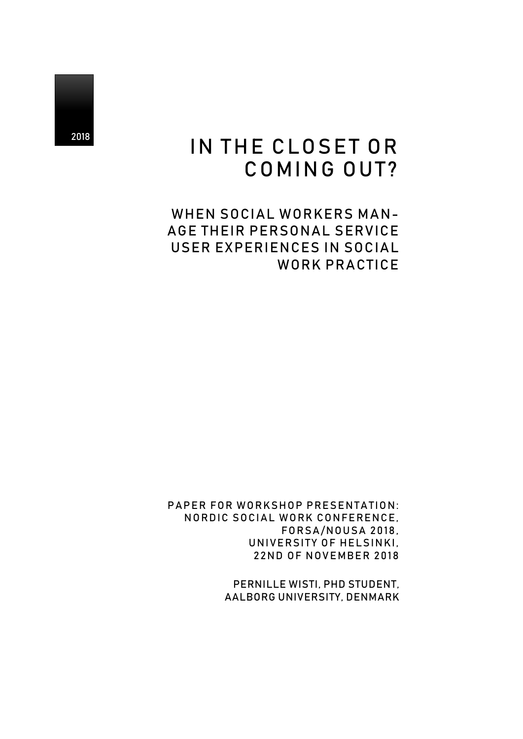# 2018 IN THE CLOSET OR COMING OUT?

WHEN SOCIAL WORKERS MAN-AGE THEIR PERSONAL SERVICE USER EXPERIENCES IN SOCIAL WORK PRACTICE

PAPER FOR WORKSHOP PRESENTATION: NORDIC SOCIAL WORK CONFERENCE, FORSA/NOUSA 2018, UNIVERSITY OF HELSINKI, 22ND OF NOVEMBER 2018

> PERNILLE WISTI, PHD STUDENT, AALBORG UNIVERSITY, DENMARK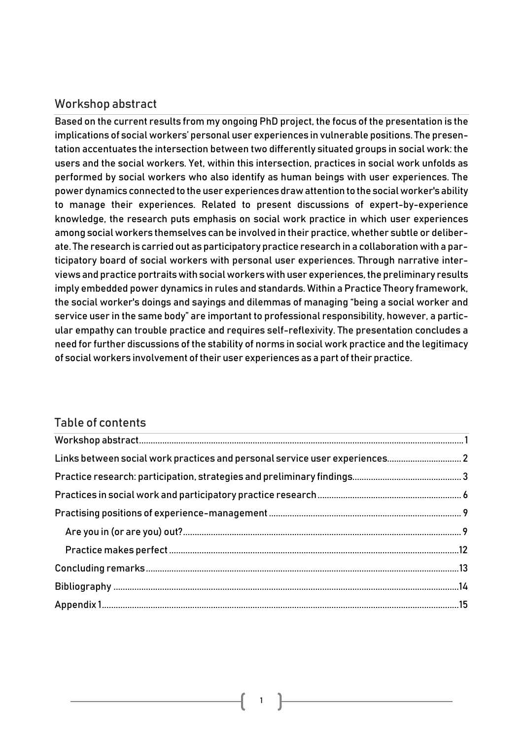## <span id="page-1-0"></span>Workshop abstract

Based on the current results from my ongoing PhD project, the focus of the presentation is the implications of social workers' personal user experiences in vulnerable positions. The presentation accentuates the intersection between two differently situated groups in social work: the users and the social workers. Yet, within this intersection, practices in social work unfolds as performed by social workers who also identify as human beings with user experiences. The power dynamics connected to the user experiences draw attention to the social worker's ability to manage their experiences. Related to present discussions of expert-by-experience knowledge, the research puts emphasis on social work practice in which user experiences among social workers themselves can be involved in their practice, whether subtle or deliberate. The research is carried out as participatory practice research in a collaboration with a participatory board of social workers with personal user experiences. Through narrative interviews and practice portraits with social workers with user experiences, the preliminary results imply embedded power dynamics in rules and standards. Within a Practice Theory framework, the social worker's doings and sayings and dilemmas of managing "being a social worker and service user in the same body" are important to professional responsibility, however, a particular empathy can trouble practice and requires self-reflexivity. The presentation concludes a need for further discussions of the stability of norms in social work practice and the legitimacy of social workers involvement of their user experiences as a part of their practice.

## Table of contents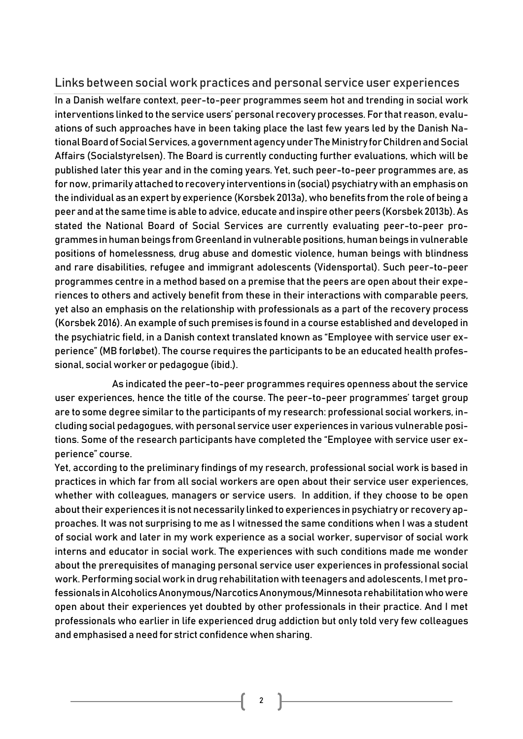# <span id="page-2-0"></span>Links between social work practices and personal service user experiences

In a Danish welfare context, peer-to-peer programmes seem hot and trending in social work interventions linked to the service users' personal recovery processes. For that reason, evaluations of such approaches have in been taking place the last few years led by the Danish National Board of Social Services, a government agency under The Ministry for Children and Social Affairs (Socialstyrelsen). The Board is currently conducting further evaluations, which will be published later this year and in the coming years. Yet, such peer-to-peer programmes are, as for now, primarily attached to recovery interventions in (social) psychiatry with an emphasis on the individual as an expert by experience (Korsbek 2013a), who benefits from the role of being a peer and at the same time is able to advice, educate and inspire other peers (Korsbek 2013b). As stated the National Board of Social Services are currently evaluating peer-to-peer programmes in human beings from Greenland in vulnerable positions, human beings in vulnerable positions of homelessness, drug abuse and domestic violence, human beings with blindness and rare disabilities, refugee and immigrant adolescents (Vidensportal). Such peer-to-peer programmes centre in a method based on a premise that the peers are open about their experiences to others and actively benefit from these in their interactions with comparable peers, yet also an emphasis on the relationship with professionals as a part of the recovery process (Korsbek 2016). An example of such premises is found in a course established and developed in the psychiatric field, in a Danish context translated known as "Employee with service user experience" (MB forløbet). The course requires the participants to be an educated health professional, social worker or pedagogue (ibid.).

As indicated the peer-to-peer programmes requires openness about the service user experiences, hence the title of the course. The peer-to-peer programmes' target group are to some degree similar to the participants of my research: professional social workers, including social pedagogues, with personal service user experiences in various vulnerable positions. Some of the research participants have completed the "Employee with service user experience" course.

Yet, according to the preliminary findings of my research, professional social work is based in practices in which far from all social workers are open about their service user experiences, whether with colleagues, managers or service users. In addition, if they choose to be open about their experiences it is not necessarily linked to experiences in psychiatry or recovery approaches. It was not surprising to me as I witnessed the same conditions when I was a student of social work and later in my work experience as a social worker, supervisor of social work interns and educator in social work. The experiences with such conditions made me wonder about the prerequisites of managing personal service user experiences in professional social work. Performing social work in drug rehabilitation with teenagers and adolescents, I met professionals in Alcoholics Anonymous/Narcotics Anonymous/Minnesota rehabilitation who were open about their experiences yet doubted by other professionals in their practice. And I met professionals who earlier in life experienced drug addiction but only told very few colleagues and emphasised a need for strict confidence when sharing.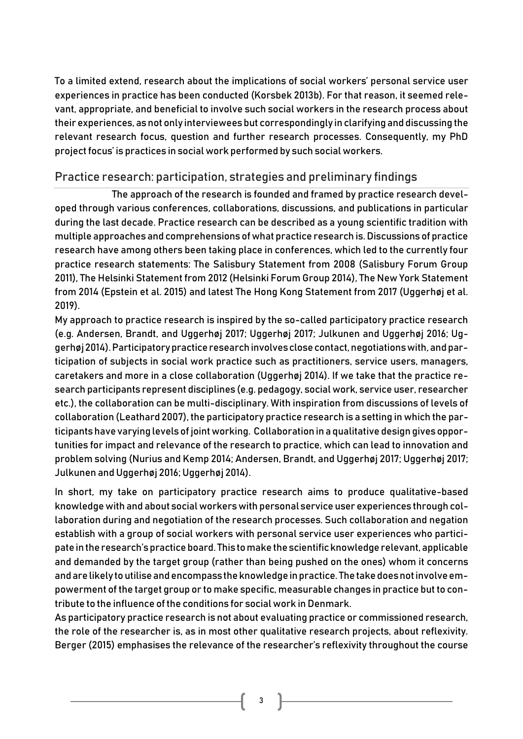To a limited extend, research about the implications of social workers' personal service user experiences in practice has been conducted (Korsbek 2013b). For that reason, it seemed relevant, appropriate, and beneficial to involve such social workers in the research process about their experiences, as not only interviewees but correspondingly in clarifying and discussing the relevant research focus, question and further research processes. Consequently, my PhD project focus' is practices in social work performed by such social workers.

# <span id="page-3-0"></span>Practice research: participation, strategies and preliminary findings

The approach of the research is founded and framed by practice research developed through various conferences, collaborations, discussions, and publications in particular during the last decade. Practice research can be described as a young scientific tradition with multiple approaches and comprehensions of what practice research is. Discussions of practice research have among others been taking place in conferences, which led to the currently four practice research statements: The Salisbury Statement from 2008 (Salisbury Forum Group 2011), The Helsinki Statement from 2012 (Helsinki Forum Group 2014), The New York Statement from 2014 (Epstein et al. 2015) and latest The Hong Kong Statement from 2017 (Uggerhøj et al. 2019).

My approach to practice research is inspired by the so-called participatory practice research (e.g. Andersen, Brandt, and Uggerhøj 2017; Uggerhøj 2017; Julkunen and Uggerhøj 2016; Uggerhøj 2014).Participatory practice research involves close contact, negotiations with, and participation of subjects in social work practice such as practitioners, service users, managers, caretakers and more in a close collaboration (Uggerhøj 2014). If we take that the practice research participants represent disciplines (e.g. pedagogy, social work, service user, researcher etc.), the collaboration can be multi-disciplinary. With inspiration from discussions of levels of collaboration (Leathard 2007), the participatory practice research is a setting in which the participants have varying levels of joint working. Collaboration in a qualitative design gives opportunities for impact and relevance of the research to practice, which can lead to innovation and problem solving (Nurius and Kemp 2014; Andersen, Brandt, and Uggerhøj 2017; Uggerhøj 2017; Julkunen and Uggerhøj 2016; Uggerhøj 2014).

In short, my take on participatory practice research aims to produce qualitative-based knowledge with and about social workers with personal service user experiences through collaboration during and negotiation of the research processes. Such collaboration and negation establish with a group of social workers with personal service user experiences who participate in the research's practice board. This to make the scientific knowledge relevant, applicable and demanded by the target group (rather than being pushed on the ones) whom it concerns andare likely to utilise and encompass the knowledge in practice. The take does not involve empowerment of the target group or to make specific, measurable changes in practice but to contribute to the influence of the conditions for social work in Denmark.

As participatory practice research is not about evaluating practice or commissioned research, the role of the researcher is, as in most other qualitative research projects, about reflexivity. Berger (2015) emphasises the relevance of the researcher's reflexivity throughout the course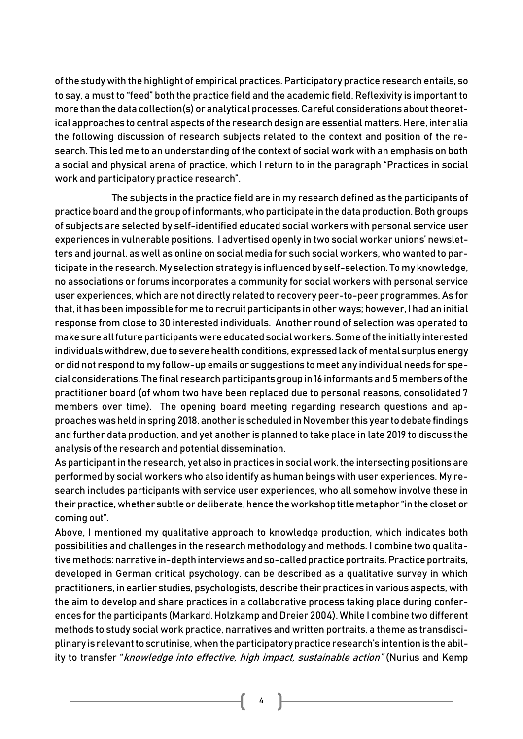of the study with the highlight of empirical practices. Participatory practice research entails, so to say, a must to "feed" both the practice field and the academic field. Reflexivity is important to more than the data collection(s) or analytical processes. Careful considerations about theoretical approaches to central aspects of the research design are essential matters. Here, inter alia the following discussion of research subjects related to the context and position of the research. This led me to an understanding of the context of social work with an emphasis on both a social and physical arena of practice, which I return to in the paragraph "Practices in social work and participatory practice research".

The subjects in the practice field are in my research defined as the participants of practice board and the group of informants, who participate in the data production. Both groups of subjects are selected by self-identified educated social workers with personal service user experiences in vulnerable positions. I advertised openly in two social worker unions' newsletters and journal, as well as online on social media for such social workers, who wanted to participate in the research. My selection strategy is influenced by self-selection. To my knowledge, no associations or forums incorporates a community for social workers with personal service user experiences, which are not directly related to recovery peer-to-peer programmes. As for that, it has been impossible for me to recruit participants in other ways; however, I had an initial response from close to 30 interested individuals. Another round of selection was operated to make sure all future participants were educated socialworkers. Some of the initially interested individuals withdrew, due to severe health conditions, expressed lack of mental surplus energy or did not respond to my follow-up emails or suggestions to meet any individual needs for special considerations. The final research participants groupin 16 informants and 5members of the practitioner board (of whom two have been replaced due to personal reasons, consolidated 7 members over time). The opening board meeting regarding research questions and approaches was heldin spring 2018, another is scheduledin November this year to debate findings and further data production, and yet another is planned to take place in late 2019 to discuss the analysis of the research and potential dissemination.

As participant in the research, yet also in practices in social work, the intersecting positions are performed by social workers who also identify as human beings with user experiences. My research includes participants with service user experiences, who all somehow involve these in their practice, whether subtle or deliberate, hence the workshop title metaphor "in the closet or coming out".

Above, I mentioned my qualitative approach to knowledge production, which indicates both possibilities and challenges in the research methodology and methods. I combine two qualitative methods: narrative in-depth interviews and so-called practice portraits. Practice portraits, developed in German critical psychology, can be described as a qualitative survey in which practitioners, in earlier studies, psychologists, describe their practices in various aspects, with the aim to develop and share practices in a collaborative process taking place during conferences for the participants (Markard, Holzkamp and Dreier 2004). While I combine two different methods to study social work practice, narratives and written portraits, a theme as transdisciplinary is relevant to scrutinise, when the participatory practice research's intention is the ability to transfer "knowledge into effective, high impact, sustainable action" (Nurius and Kemp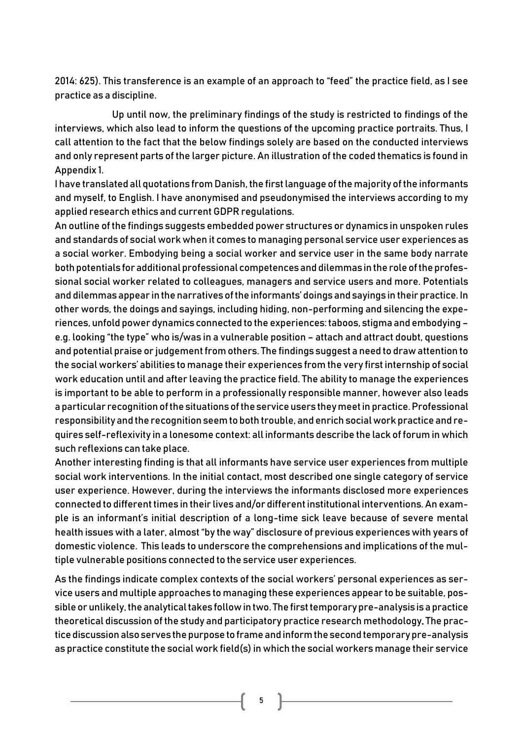2014: 625). This transference is an example of an approach to "feed" the practice field, as I see practice as a discipline.

Up until now, the preliminary findings of the study is restricted to findings of the interviews, which also lead to inform the questions of the upcoming practice portraits. Thus, I call attention to the fact that the below findings solely are based on the conducted interviews and only represent parts of the larger picture. An illustration of the coded thematics is found in Appendix 1.

I have translated all quotations from Danish, the first language of the majority of the informants and myself, to English. I have anonymised and pseudonymised the interviews according to my applied research ethics and current GDPR regulations.

An outline ofthe findings suggests embedded power structures or dynamics in unspoken rules and standards of social work when it comes to managing personal service user experiences as a social worker. Embodying being a social worker and service user in the same body narrate both potentials for additional professional competences and dilemmas in the role of the professional social worker related to colleagues, managers and service users and more. Potentials and dilemmas appear in the narratives of the informants' doings and sayings in their practice. In other words, the doings and sayings, including hiding, non-performing and silencing the experiences, unfold power dynamics connected to the experiences: taboos, stigma and embodying – e.g. looking "the type" who is/was in a vulnerable position – attach and attract doubt, questions and potential praise or judgement from others. The findings suggest a need to draw attention to the social workers' abilities to manage their experiences from the very first internship of social work education until and after leaving the practice field. The ability to manage the experiences is important to be able to perform in a professionally responsible manner, however also leads a particular recognition of the situations of the service users they meet in practice. Professional responsibility and the recognition seem to both trouble, and enrich social work practice and requires self-reflexivity in a lonesome context: all informants describe the lack of forum in which such reflexions can take place.

Another interesting finding is that all informants have service user experiences from multiple social work interventions. In the initial contact, most described one single category of service user experience. However, during the interviews the informants disclosed more experiences connected to different times in their lives and/or different institutional interventions. An example is an informant's initial description of a long-time sick leave because of severe mental health issues with a later, almost "by the way" disclosure of previous experiences with years of domestic violence. This leads to underscore the comprehensions and implications of the multiple vulnerable positions connected to the service user experiences.

As the findings indicate complex contexts of the social workers' personal experiences as service users and multiple approaches to managing these experiences appear to be suitable, possible or unlikely,the analytical takes follow in two. The firsttemporary pre-analysis is a practice theoretical discussion of the study and participatory practice research methodology. The practice discussion alsoserves the purpose to frame and inform the second temporary pre-analysis as practice constitute the social work field(s) in which the social workers manage their service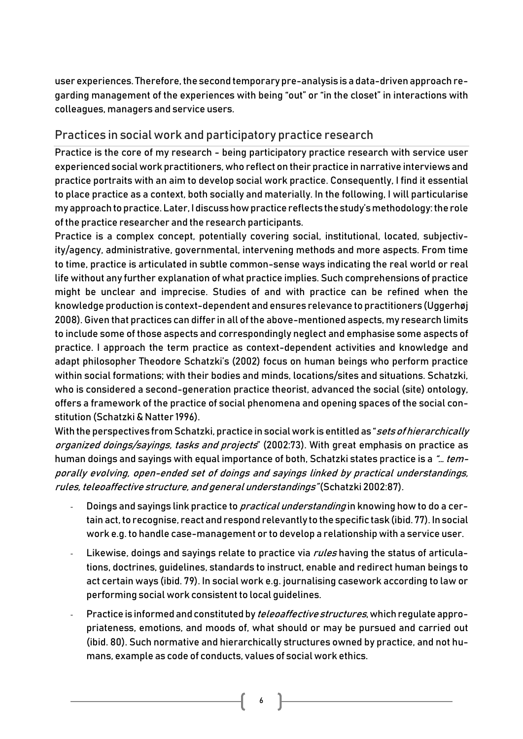user experiences. Therefore, the second temporary pre-analysis is a data-driven approach regarding management of the experiences with being "out" or "in the closet" in interactions with colleagues, managers and service users.

# <span id="page-6-0"></span>Practices in social work and participatory practice research

Practice is the core of my research - being participatory practice research with service user experienced social work practitioners, who reflect on their practice in narrative interviews and practice portraits with an aim to develop social work practice. Consequently, I find it essential to place practice as a context, both socially and materially. In the following, I will particularise my approach to practice. Later, I discuss how practice reflects the study'smethodology: the role of the practice researcher and the research participants.

Practice is a complex concept, potentially covering social, institutional, located, subjectivity/agency, administrative, governmental, intervening methods and more aspects. From time to time, practice is articulated in subtle common-sense ways indicating the real world or real life without any further explanation of what practice implies. Such comprehensions of practice might be unclear and imprecise. Studies of and with practice can be refined when the knowledge production is context-dependent and ensures relevance to practitioners (Uggerhøj 2008). Given that practices can differ in all of the above-mentioned aspects, my research limits to include some of those aspects and correspondingly neglect and emphasise some aspects of practice. I approach the term practice as context-dependent activities and knowledge and adapt philosopher Theodore Schatzki's (2002) focus on human beings who perform practice within social formations; with their bodies and minds, locations/sites and situations. Schatzki, who is considered a second-generation practice theorist, advanced the social (site) ontology, offers a framework of the practice of social phenomena and opening spaces of the social constitution (Schatzki & Natter 1996).

With the perspectives from Schatzki, practice in social work is entitled as "sets of hierarchically organized doings/sayings, tasks and projects" (2002:73). With great emphasis on practice as human doings and sayings with equal importance of both, Schatzki states practice is a "... temporally evolving, open-ended set of doings and sayings linked by practical understandings, rules, teleoaffective structure, and general understandings"(Schatzki 2002:87).

- Doings and sayings link practice to *practical understanding* in knowing how to do a certain act, to recognise, react and respond relevantly to the specific task (ibid. 77). In social work e.g. to handle case-management or to develop a relationship with a service user.
- Likewise, doings and sayings relate to practice via *rules* having the status of articulations, doctrines, guidelines, standards to instruct, enable and redirect human beings to act certain ways (ibid. 79). In social work e.g. journalising casework according to law or performing social work consistent to local guidelines.
- Practice is informed and constituted by *teleoaffective structures*, which regulate appropriateness, emotions, and moods of, what should or may be pursued and carried out (ibid. 80). Such normative and hierarchically structures owned by practice, and not humans, example as code of conducts, values of social work ethics.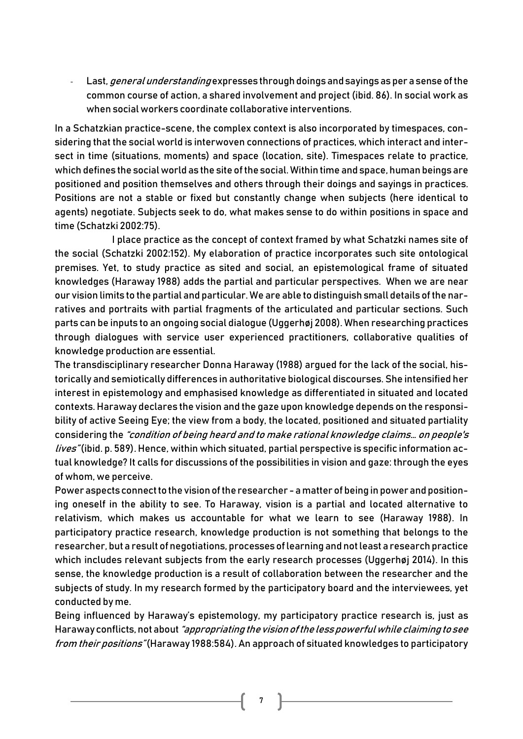Last, general understanding expresses through doings and sayings as per a sense of the common course of action, a shared involvement and project (ibid. 86). In social work as when social workers coordinate collaborative interventions.

In a Schatzkian practice-scene, the complex context is also incorporated by timespaces, considering that the social world is interwoven connections of practices, which interact and intersect in time (situations, moments) and space (location, site). Timespaces relate to practice, which defines the social world as the site of the social. Within time and space, human beings are positioned and position themselves and others through their doings and sayings in practices. Positions are not a stable or fixed but constantly change when subjects (here identical to agents) negotiate. Subjects seek to do, what makes sense to do within positions in space and time (Schatzki 2002:75).

I place practice as the concept of context framed by what Schatzki names site of the social (Schatzki 2002:152). My elaboration of practice incorporates such site ontological premises. Yet, to study practice as sited and social, an epistemological frame of situated knowledges (Haraway 1988) adds the partial and particular perspectives. When we are near our vision limits to the partial and particular. We are able to distinguish small details of the narratives and portraits with partial fragments of the articulated and particular sections. Such parts can be inputs to an ongoing social dialogue (Uggerhøj 2008). When researching practices through dialogues with service user experienced practitioners, collaborative qualities of knowledge production are essential.

The transdisciplinary researcher Donna Haraway (1988) argued for the lack of the social, historically and semiotically differences in authoritative biological discourses. She intensified her interest in epistemology and emphasised knowledge as differentiated in situated and located contexts. Haraway declares the vision and the gaze upon knowledge depends on the responsibility of active Seeing Eye; the view from a body, the located, positioned and situated partiality considering the "condition of being heard and to make rational knowledge claims... on people's lives" (ibid. p. 589). Hence, within which situated, partial perspective is specific information actual knowledge? It calls for discussions of the possibilities in vision and gaze: through the eyes of whom, we perceive.

Power aspects connect to the vision of the researcher - a matter of being in power and positioning oneself in the ability to see. To Haraway, vision is a partial and located alternative to relativism, which makes us accountable for what we learn to see (Haraway 1988). In participatory practice research, knowledge production is not something that belongs to the researcher, but a result of negotiations, processes of learning and not least a research practice which includes relevant subjects from the early research processes (Uggerhøj 2014). In this sense, the knowledge production is a result of collaboration between the researcher and the subjects of study. In my research formed by the participatory board and the interviewees, yet conducted by me.

Being influenced by Haraway's epistemology, my participatory practice research is, just as Haraway conflicts, not about *"appropriating the vision of the less powerful while claiming to see* from their positions" (Haraway 1988:584). An approach of situated knowledges to participatory

7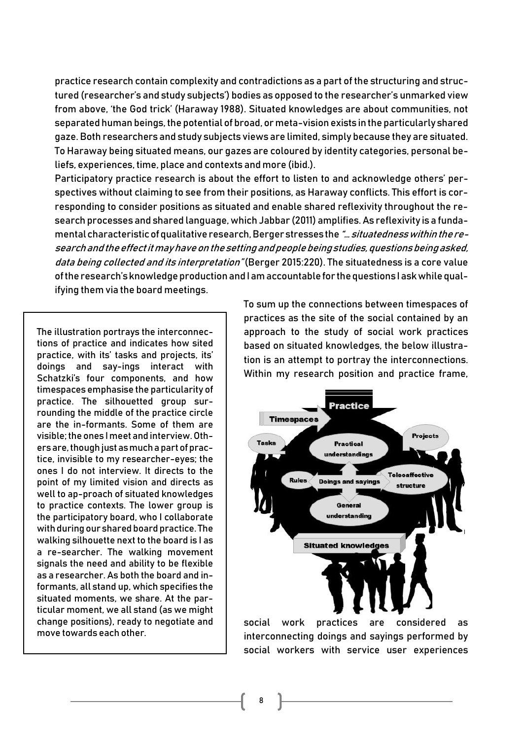practice research contain complexity and contradictions as a part of the structuring and structured (researcher's and study subjects') bodies as opposed to the researcher's unmarked view from above, 'the God trick' (Haraway 1988). Situated knowledges are about communities, not separated human beings, the potential of broad, or meta-vision exists in the particularly shared gaze. Both researchers and study subjects views are limited, simply because they are situated. To Haraway being situated means, our gazes are coloured by identity categories, personal beliefs, experiences, time, place and contexts and more (ibid.).

Participatory practice research is about the effort to listen to and acknowledge others' perspectives without claiming to see from their positions, as Haraway conflicts. This effort is corresponding to consider positions as situated and enable shared reflexivity throughout the research processes and shared language, which Jabbar (2011) amplifies. As reflexivity is a fundamental characteristic of qualitative research, Berger stresses the "... situatedness within the research and the effect it may have on the setting and people being studies, questions being asked, data being collected and its interpretation" (Berger 2015:220). The situatedness is a core value of the research'sknowledge production and I am accountable for the questions I askwhile qualifying them via the board meetings.

The illustration portrays the interconnections of practice and indicates how sited practice, with its' tasks and projects, its' doings and say-ings interact with Schatzki's four components, and how timespaces emphasise the particularity of practice. The silhouetted group surrounding the middle of the practice circle are the in-formants. Some of them are visible; the ones I meet and interview. Others are, though just as much a part of practice, invisible to my researcher-eyes; the ones I do not interview. It directs to the point of my limited vision and directs as well to ap-proach of situated knowledges to practice contexts. The lower group is the participatory board, who I collaborate with during our shared board practice. The walking silhouette next to the board is I as a re-searcher. The walking movement signals the need and ability to be flexible as a researcher. As both the board and informants, all stand up, which specifies the situated moments, we share. At the particular moment, we all stand (as we might change positions), ready to negotiate and move towards each other.

To sum up the connections between timespaces of practices as the site of the social contained by an approach to the study of social work practices based on situated knowledges, the below illustration is an attempt to portray the interconnections. Within my research position and practice frame,



social work practices are considered as interconnecting doings and sayings performed by social workers with service user experiences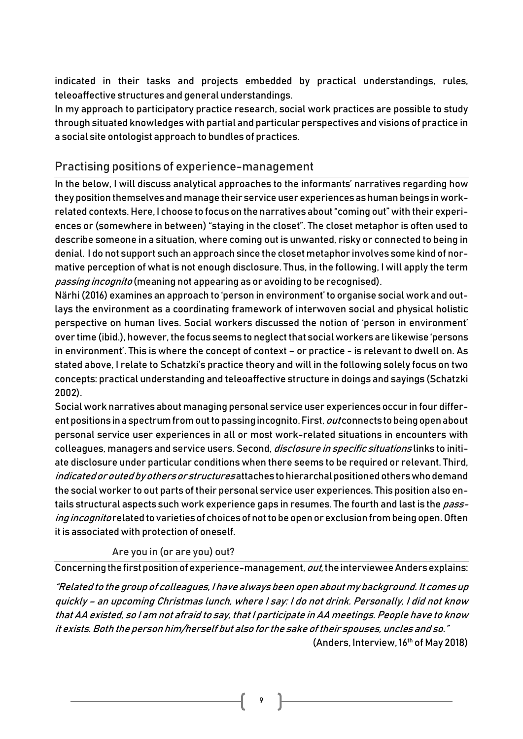indicated in their tasks and projects embedded by practical understandings, rules, teleoaffective structures and general understandings.

In my approach to participatory practice research, social work practices are possible to study through situated knowledges with partial and particular perspectives and visions of practice in a social site ontologist approach to bundles of practices.

## <span id="page-9-0"></span>Practising positions of experience-management

In the below, I will discuss analytical approaches to the informants' narratives regarding how they position themselves and manage their service user experiences as human beings inworkrelated contexts. Here, I choose to focus on the narratives about "coming out" with their experiences or (somewhere in between) "staying in the closet". The closet metaphor is often used to describe someone in a situation, where coming out is unwanted, risky or connected to being in denial. I do not support such an approach since the closet metaphor involves some kind of normative perception of what is not enough disclosure. Thus, in the following, I will apply the term passing incognito (meaning not appearing as or avoiding to be recognised).

Närhi (2016) examines an approach to 'person in environment' to organise social work and outlays the environment as a coordinating framework of interwoven social and physical holistic perspective on human lives. Social workers discussed the notion of 'person in environment' over time (ibid.), however,the focus seems to neglect that social workers are likewise 'persons in environment'. This is where the concept of context – or practice - is relevant to dwell on. As stated above, I relate to Schatzki's practice theory and will in the following solely focus on two concepts: practical understanding and teleoaffective structure in doings and sayings (Schatzki 2002).

Social work narratives about managing personal service user experiences occur in four different positions in a spectrum from out to passing incognito. First, *out* connects to being open about personal service user experiences in all or most work-related situations in encounters with colleagues, managers and service users. Second, *disclosure in specific situations* links to initiate disclosure under particular conditions when there seems to be required or relevant. Third, indicated or outed by others or structures attaches to hierarchal positioned others who demand the social worker to out parts of their personal service user experiences. This position also entails structural aspects such work experience gaps in resumes. The fourth and last is the *pass*ing incognitorelated to varieties of choices of not to be open or exclusion from being open. Often it is associated with protection of oneself.

#### Are you in (or are you) out?

<span id="page-9-1"></span>Concerning the first position of experience-management, *out*, the interviewee Anders explains:

"Related to the group of colleagues, I have always been open about my background. It comes up quickly – an upcoming Christmas lunch, where I say: I do not drink. Personally, I did not know that AA existed, so I am not afraid to say, that I participate in AA meetings. People have to know it exists. Both the person him/herself but also for the sake of their spouses, uncles and so." (Anders, Interview, 16<sup>th</sup> of May 2018)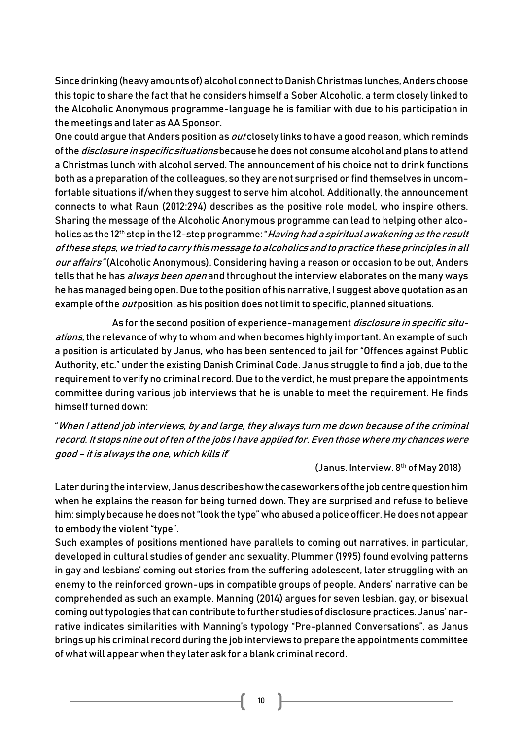Since drinking (heavy amounts of) alcohol connect to Danish Christmas lunches, Anders choose this topic to share the fact that he considers himself a Sober Alcoholic, a term closely linked to the Alcoholic Anonymous programme-language he is familiar with due to his participation in the meetings and later as AA Sponsor.

One could argue that Anders position as *out* closely links to have a good reason, which reminds of the *disclosure in specific situations* because he does not consume alcohol and plans to attend a Christmas lunch with alcohol served. The announcement of his choice not to drink functions both as a preparation of the colleagues, so they are not surprised or find themselves in uncomfortable situations if/when they suggest to serve him alcohol. Additionally, the announcement connects to what Raun (2012:294) describes as the positive role model, who inspire others. Sharing the message of the Alcoholic Anonymous programme can lead to helping other alcoholics as the 12<sup>th</sup> step in the 12-step programme: "Having had a spiritual awakening as the result of these steps, we tried to carry this message to alcoholics and to practice these principles in all our affairs"(Alcoholic Anonymous). Considering having a reason or occasion to be out, Anders tells that he has *always been open* and throughout the interview elaborates on the many ways he has managed being open. Due to the position of his narrative, I suggest above quotation as an example of the *out* position, as his position does not limit to specific, planned situations.

As for the second position of experience-management *disclosure in specific situ*ations, the relevance of why to whom and when becomes highly important. An example of such a position is articulated by Janus, who has been sentenced to jail for "Offences against Public Authority, etc." under the existing Danish Criminal Code. Janus struggle to find a job, due to the requirement to verify no criminal record. Due to the verdict, he must prepare the appointments committee during various job interviews that he is unable to meet the requirement. He finds himself turned down:

"When I attend job interviews, by and large, they always turn me down because of the criminal record. It stops nine out of ten of the jobs I have applied for. Even those where my chances were good – it is always the one, which kills it"

(Janus, Interview, 8th of May 2018)

Later during the interview, Janus describes how the caseworkers of the job centrequestion him when he explains the reason for being turned down. They are surprised and refuse to believe him: simply because he does not "look the type"who abused a police officer. He does not appear to embody the violent"type".

Such examples of positions mentioned have parallels to coming out narratives, in particular, developed in cultural studies of gender and sexuality. Plummer (1995) found evolving patterns in gay and lesbians' coming out stories from the suffering adolescent, later struggling with an enemy to the reinforced grown-ups in compatible groups of people. Anders' narrative can be comprehended as such an example. Manning (2014) argues for seven lesbian, gay, or bisexual coming out typologies that can contribute to further studies of disclosure practices. Janus' narrative indicates similarities with Manning's typology "Pre-planned Conversations", as Janus brings up his criminal record during the job interviews to prepare the appointments committee of what will appear when they later ask for a blank criminal record.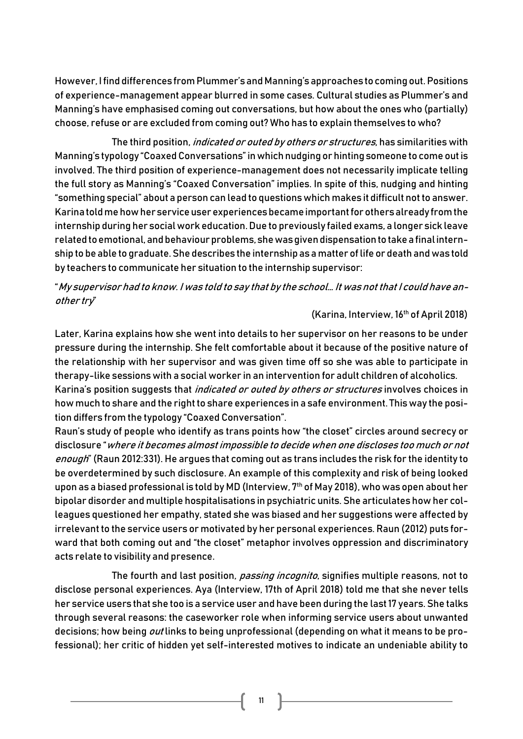However, I find differences from Plummer's and Manning's approaches to coming out. Positions of experience-management appear blurred in some cases. Cultural studies as Plummer's and Manning's have emphasised coming out conversations, but how about the ones who (partially) choose, refuse or are excluded from coming out? Who has to explain themselves to who?

The third position, *indicated or outed by others or structures*, has similarities with Manning's typology "Coaxed Conversations" in which nudging or hinting someone to come out is involved. The third position of experience-management does not necessarily implicate telling the full story as Manning's "Coaxed Conversation" implies. In spite of this, nudging and hinting "something special" about a person can lead to questions which makes it difficult not to answer. Karina told me how her service user experiences became important for others already from the internship during her social work education. Due to previously failed exams, a longer sick leave related to emotional, and behaviour problems, she was given dispensation to take a final internship to be able to graduate. She describes the internship as a matter of life or death and was told by teachers to communicate her situation to the internship supervisor:

### "My supervisor had to know. I was told to say that by the school… It was not that <sup>I</sup> could have another try"

#### (Karina, Interview, 16<sup>th</sup> of April 2018)

Later, Karina explains how she went into details to her supervisor on her reasons to be under pressure during the internship. She felt comfortable about it because of the positive nature of the relationship with her supervisor and was given time off so she was able to participate in therapy-like sessions with a social worker in an intervention for adult children of alcoholics. Karina's position suggests that *indicated or outed by others or structures* involves choices in how much to share and the right to share experiences in a safe environment. This way the position differs from the typology "Coaxed Conversation".

Raun's study of people who identify as trans points how "the closet" circles around secrecy or disclosure "where it becomes almost impossible to decide when one discloses too much or not enough" (Raun 2012:331). He argues that coming out as trans includes the risk for the identity to be overdetermined by such disclosure. An example of this complexity and risk of being looked upon as a biased professional is told by MD (Interview, 7<sup>th</sup> of May 2018), who was open about her bipolar disorder and multiple hospitalisations in psychiatric units. She articulates how her colleagues questioned her empathy, stated she was biased and her suggestions were affected by irrelevant to the service users or motivated by her personal experiences. Raun (2012) puts forward that both coming out and "the closet" metaphor involves oppression and discriminatory acts relate to visibility and presence.

The fourth and last position, *passing incognito*, signifies multiple reasons, not to disclose personal experiences. Aya (Interview, 17th of April 2018) told me that she never tells her service users that she too is a service user and have been during the last 17 years. She talks through several reasons: the caseworker role when informing service users about unwanted decisions; how being *out* links to being unprofessional (depending on what it means to be professional); her critic of hidden yet self-interested motives to indicate an undeniable ability to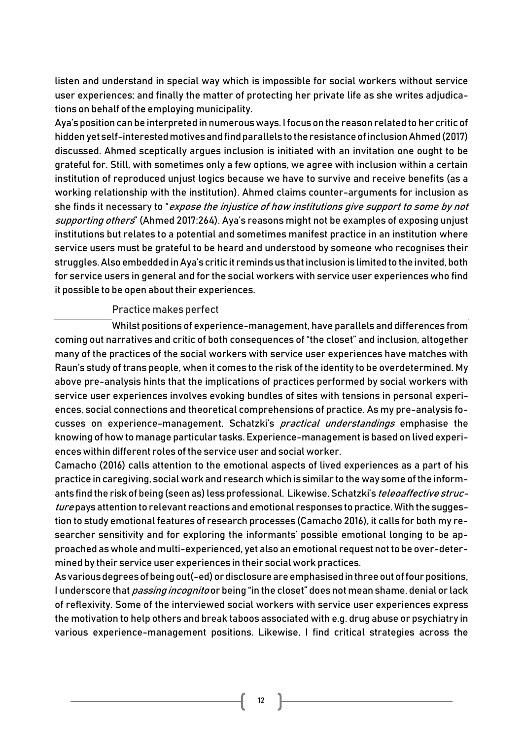listen and understand in special way which is impossible for social workers without service user experiences; and finally the matter of protecting her private life as she writes adjudications on behalf of the employing municipality.

Aya's position can be interpreted in numerous ways. I focus on the reason related to her critic of hidden yet self-interested motives and find parallels to the resistance of inclusion Ahmed (2017) discussed. Ahmed sceptically argues inclusion is initiated with an invitation one ought to be grateful for. Still, with sometimes only a few options, we agree with inclusion within a certain institution of reproduced unjust logics because we have to survive and receive benefits (as a working relationship with the institution). Ahmed claims counter-arguments for inclusion as she finds it necessary to "expose the injustice of how institutions give support to some by not supporting others" (Ahmed 2017:264). Aya's reasons might not be examples of exposing unjust institutions but relates to a potential and sometimes manifest practice in an institution where service users must be grateful to be heard and understood by someone who recognises their struggles. Also embedded in Aya's critic it reminds us that inclusion is limited to the invited, both for service users in general and for the social workers with service user experiences who find it possible to be open about their experiences.

#### Practice makes perfect

<span id="page-12-0"></span>Whilst positions of experience-management, have parallels and differences from coming out narratives and critic of both consequences of "the closet" and inclusion, altogether many of the practices of the social workers with service user experiences have matches with Raun's study of trans people, when it comes to the risk of the identity to be overdetermined. My above pre-analysis hints that the implications of practices performed by social workers with service user experiences involves evoking bundles of sites with tensions in personal experiences, social connections and theoretical comprehensions of practice. As my pre-analysis focusses on experience-management, Schatzki's practical understandings emphasise the knowing of how to manage particular tasks. Experience-management is based on lived experiences within different roles of the service user and social worker.

Camacho (2016) calls attention to the emotional aspects of lived experiences as a part of his practice in caregiving, social work and research which is similar to the way some of the informants find the risk of being (seen as) less professional. Likewise, Schatzki's *teleoaffective struc*ture pays attention to relevant reactions and emotional responses to practice. With the suggestion to study emotional features of research processes (Camacho 2016), it calls for both my researcher sensitivity and for exploring the informants' possible emotional longing to be approached as whole and multi-experienced, yet also an emotional request not to be over-determined by their service user experiences in their social work practices.

As various degrees of being out(-ed) or disclosureareemphasised in three out of four positions, I underscore that *passing incognito* or being "in the closet" does not mean shame, denial or lack of reflexivity. Some of the interviewed social workers with service user experiences express the motivation to help others and break taboos associated with e.g. drug abuse or psychiatry in various experience-management positions. Likewise, I find critical strategies across the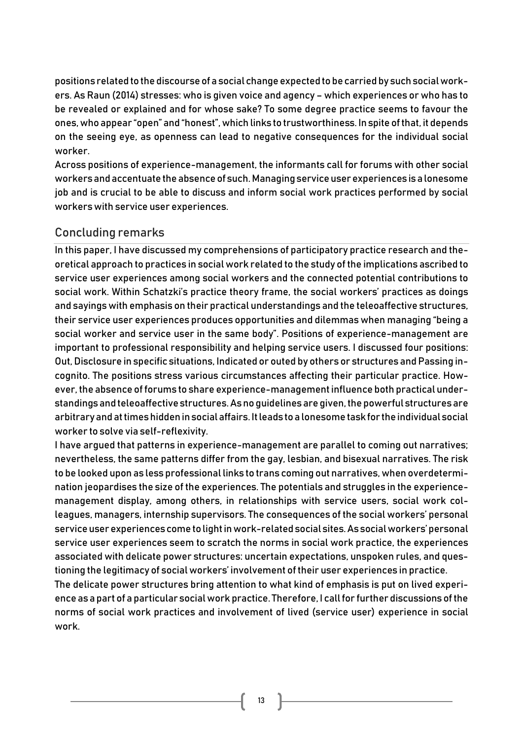positions related to the discourse of a social change expected to be carried by such social workers. As Raun (2014) stresses: who is given voice and agency – which experiences or who has to be revealed or explained and for whose sake? To some degree practice seems to favour the ones, who appear "open" and "honest",which links to trustworthiness. In spite of that, it depends on the seeing eye, as openness can lead to negative consequences for the individual social worker.

Across positions of experience-management, the informants call for forums with other social workers and accentuate the absence of such. Managing service user experiences is a lonesome job and is crucial to be able to discuss and inform social work practices performed by social workers with service user experiences.

## <span id="page-13-0"></span>Concluding remarks

In this paper, I have discussed my comprehensions of participatory practice research and theoretical approach to practices in social work related to the study of the implications ascribed to service user experiences among social workers and the connected potential contributions to social work. Within Schatzki's practice theory frame, the social workers' practices as doings and sayings with emphasis on their practical understandings and the teleoaffective structures, their service user experiences produces opportunities and dilemmas when managing "being a social worker and service user in the same body". Positions of experience-management are important to professional responsibility and helping service users. I discussed four positions: Out, Disclosure in specific situations, Indicated or outed by others or structures and Passing incognito. The positions stress various circumstances affecting their particular practice. However,the absence of forums to share experience-management influence both practical understandings and teleoaffective structures.As no guidelines are given, the powerful structures are arbitrary and at times hidden in social affairs. It leads to a lonesome task for the individual social worker to solve via self-reflexivity.

I have argued that patterns in experience-management are parallel to coming out narratives; nevertheless, the same patterns differ from the gay, lesbian, and bisexual narratives. The risk to be looked upon as less professional links to trans coming out narratives, when overdetermination jeopardises the size of the experiences. The potentials and struggles in the experiencemanagement display, among others, in relationships with service users, social work colleagues, managers, internship supervisors. The consequences of the social workers' personal service user experiences come to light in work-related social sites.As social workers'personal service user experiences seem to scratch the norms in social work practice, the experiences associated with delicate power structures: uncertain expectations, unspoken rules, and questioning the legitimacy of social workers' involvement of their user experiences in practice.

The delicate power structures bring attention to what kind of emphasis is put on lived experience as a part of a particular social work practice. Therefore, I call for further discussions of the norms of social work practices and involvement of lived (service user) experience in social work.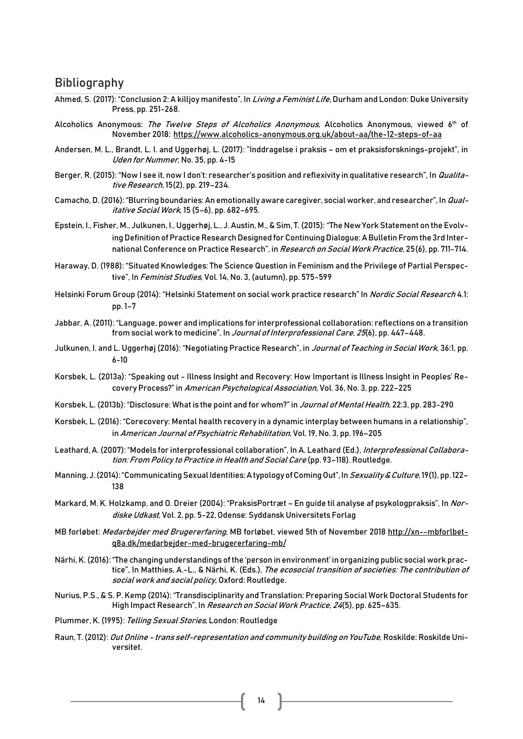#### <span id="page-14-0"></span>Bibliography

- Ahmed, S. (2017): "Conclusion 2: A killjoy manifesto", In *Living a Feminist Life*, Durham and London: Duke University Press, pp. 251-268.
- Alcoholics Anonymous: The Twelve Steps of Alcoholics Anonymous, Alcoholics Anonymous, viewed 6th of November 2018:<https://www.alcoholics-anonymous.org.uk/about-aa/the-12-steps-of-aa>
- Andersen, M. L., Brandt, L. I. and Uggerhøj, L. (2017): "Inddragelse i praksis om et praksisforsknings-projekt", in Uden for Nummer, No. 35, pp. 4-15
- Berger, R. (2015): "Now I see it, now I don't: researcher's position and reflexivity in qualitative research", In Qualitative Research, 15(2), pp. 219–234.
- Camacho, D. (2016): "Blurring boundaries: An emotionally aware caregiver, social worker, and researcher", In Qualitative Social Work, 15 (5–6), pp. 682–695.
- Epstein, I., Fisher, M., Julkunen, I[., Uggerhøj, L.,](http://vbn.aau.dk/en/persons/lars-uggerhoej(eb53caa5-e26c-41ab-b42a-c4c19b6cd423).html) J. Austin, M., & Sim, T. (2015): ["The New York Statement on the Evolv](http://vbn.aau.dk/en/publications/the-new-york-statement-on-the-evolving-definition-of-practice-research-designed-for-continuing-dialogue(0c974a91-55cd-4fae-98ee-e90fcf26f1b2).html)[ing Definition of Practice Research Designed for Continuing Dialogue: A Bulletin From the 3rd Inter](http://vbn.aau.dk/en/publications/the-new-york-statement-on-the-evolving-definition-of-practice-research-designed-for-continuing-dialogue(0c974a91-55cd-4fae-98ee-e90fcf26f1b2).html)[national Conference on Practice Research"](http://vbn.aau.dk/en/publications/the-new-york-statement-on-the-evolving-definition-of-practice-research-designed-for-continuing-dialogue(0c974a91-55cd-4fae-98ee-e90fcf26f1b2).html), in Research on Social Work Practice, 25(6), pp. 711-714.
- Haraway, D. (1988): "Situated Knowledges: The Science Question in Feminism and the Privilege of Partial Perspective", In Feminist Studies, Vol. 14, No. 3, (autumn), pp. 575-599
- Helsinki Forum Group (2014): ["Helsinki Statement on social work practice research"](http://www.tandfonline.com/doi/full/10.1080/2156857X.2014.981426) In Nordic Social Research 4.1: pp. 1–7
- Jabbar, A. (2011): "Language, power and implications for interprofessional collaboration: reflections on a transition from social work to medicine", In Journal of Interprofessional Care, 25(6), pp. 447–448.
- Julkunen, I. and L. Uggerhøj (2016): "Negotiating Practice Research", in Journal of Teaching in Social Work, 36:1, pp. 6-10
- Korsbek, L. (2013a): "Speaking out Illness Insight and Recovery: How Important is Illness Insight in Peoples' Recovery Process?" in American Psychological Association, Vol. 36, No. 3, pp. 222–225
- Korsbek, L. (2013b): "Disclosure: What is the point and for whom?" in Journal of Mental Health, 22:3, pp. 283-290
- Korsbek, L. (2016): "Corecovery: Mental health recovery in a dynamic interplay between humans in a relationship", in American Journal of Psychiatric Rehabilitation, Vol. 19, No. 3, pp. 196–205
- Leathard, A. (2007): "Models for interprofessional collaboration", In A. Leathard (Ed.), Interprofessional Collaboration: From Policy to Practice in Health and Social Care (pp. 93-118). Routledge.
- Manning, J. (2014): "Communicating Sexual Identities: A typology of Coming Out", In Sexuality & Culture, 19(1), pp. 122-138
- Markard, M. K. Holzkamp, and O. Dreier (2004): "PraksisPortræt En guide til analyse af psykologpraksis", In Nordiske Udkast, Vol. 2, pp. 5-22, Odense: Syddansk Universitets Forlag
- MB forløbet: Medarbejder med Brugererfaring, MB forløbet, viewed 5th of November 201[8 http://xn--mbforlbet](http://mbforl%C3%B8bet.dk/medarbejder-med-brugererfaring-mb/)[q8a.dk/medarbejder-med-brugererfaring-mb/](http://mbforl%C3%B8bet.dk/medarbejder-med-brugererfaring-mb/)
- Närhi, K. (2016): "The changing understandings of the 'person in environment' in organizing public social work practice", In Matthies, A.-L., & Närhi, K. (Eds.), The ecosocial transition of societies: The contribution of social work and social policy, Oxford: Routledge.
- Nurius, P.S., & S. P. Kemp (2014): "Transdisciplinarity and Translation: Preparing Social Work Doctoral Students for High Impact Research", In Research on Social Work Practice, 24(5), pp. 625-635.
- Plummer, K. (1995): Telling Sexual Stories, London: Routledge
- Raun, T. (2012): Out Online trans self-representation and community building on YouTube, Roskilde: Roskilde Universitet.